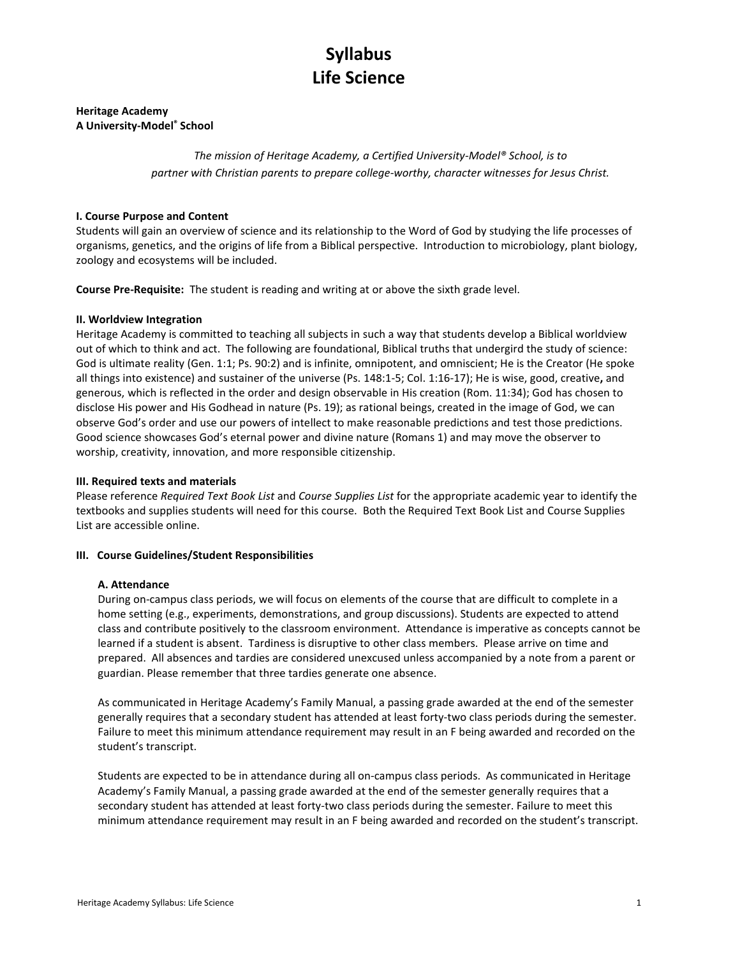## Heritage Academy A University-Model® School

The mission of Heritage Academy, a Certified University-Model® School, is to partner with Christian parents to prepare college-worthy, character witnesses for Jesus Christ.

## I. Course Purpose and Content

Students will gain an overview of science and its relationship to the Word of God by studying the life processes of organisms, genetics, and the origins of life from a Biblical perspective. Introduction to microbiology, plant biology, zoology and ecosystems will be included.

Course Pre-Requisite: The student is reading and writing at or above the sixth grade level.

## II. Worldview Integration

Heritage Academy is committed to teaching all subjects in such a way that students develop a Biblical worldview out of which to think and act. The following are foundational, Biblical truths that undergird the study of science: God is ultimate reality (Gen. 1:1; Ps. 90:2) and is infinite, omnipotent, and omniscient; He is the Creator (He spoke all things into existence) and sustainer of the universe (Ps. 148:1-5; Col. 1:16-17); He is wise, good, creative, and generous, which is reflected in the order and design observable in His creation (Rom. 11:34); God has chosen to disclose His power and His Godhead in nature (Ps. 19); as rational beings, created in the image of God, we can observe God's order and use our powers of intellect to make reasonable predictions and test those predictions. Good science showcases God's eternal power and divine nature (Romans 1) and may move the observer to worship, creativity, innovation, and more responsible citizenship.

## III. Required texts and materials

Please reference Required Text Book List and Course Supplies List for the appropriate academic year to identify the textbooks and supplies students will need for this course. Both the Required Text Book List and Course Supplies List are accessible online.

#### III. Course Guidelines/Student Responsibilities

#### A. Attendance

During on-campus class periods, we will focus on elements of the course that are difficult to complete in a home setting (e.g., experiments, demonstrations, and group discussions). Students are expected to attend class and contribute positively to the classroom environment. Attendance is imperative as concepts cannot be learned if a student is absent. Tardiness is disruptive to other class members. Please arrive on time and prepared. All absences and tardies are considered unexcused unless accompanied by a note from a parent or guardian. Please remember that three tardies generate one absence.

As communicated in Heritage Academy's Family Manual, a passing grade awarded at the end of the semester generally requires that a secondary student has attended at least forty-two class periods during the semester. Failure to meet this minimum attendance requirement may result in an F being awarded and recorded on the student's transcript.

Students are expected to be in attendance during all on-campus class periods. As communicated in Heritage Academy's Family Manual, a passing grade awarded at the end of the semester generally requires that a secondary student has attended at least forty-two class periods during the semester. Failure to meet this minimum attendance requirement may result in an F being awarded and recorded on the student's transcript.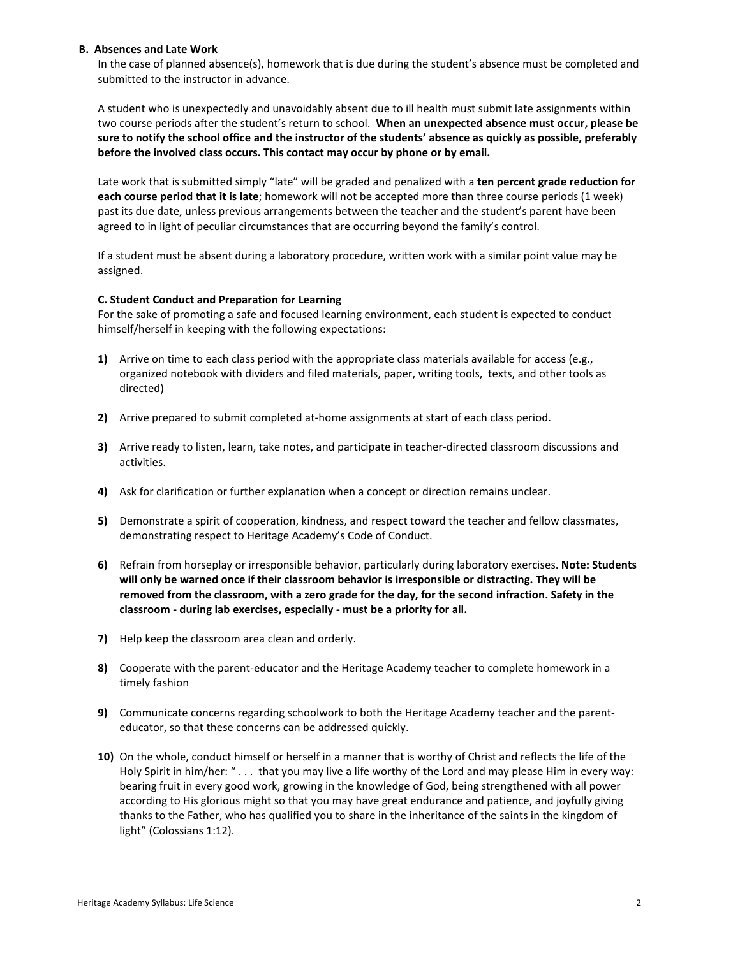#### B. Absences and Late Work

In the case of planned absence(s), homework that is due during the student's absence must be completed and submitted to the instructor in advance.

A student who is unexpectedly and unavoidably absent due to ill health must submit late assignments within two course periods after the student's return to school. When an unexpected absence must occur, please be sure to notify the school office and the instructor of the students' absence as quickly as possible, preferably before the involved class occurs. This contact may occur by phone or by email.

Late work that is submitted simply "late" will be graded and penalized with a ten percent grade reduction for each course period that it is late; homework will not be accepted more than three course periods (1 week) past its due date, unless previous arrangements between the teacher and the student's parent have been agreed to in light of peculiar circumstances that are occurring beyond the family's control.

If a student must be absent during a laboratory procedure, written work with a similar point value may be assigned.

## C. Student Conduct and Preparation for Learning

For the sake of promoting a safe and focused learning environment, each student is expected to conduct himself/herself in keeping with the following expectations:

- 1) Arrive on time to each class period with the appropriate class materials available for access (e.g., organized notebook with dividers and filed materials, paper, writing tools, texts, and other tools as directed)
- 2) Arrive prepared to submit completed at-home assignments at start of each class period.
- 3) Arrive ready to listen, learn, take notes, and participate in teacher-directed classroom discussions and activities.
- 4) Ask for clarification or further explanation when a concept or direction remains unclear.
- 5) Demonstrate a spirit of cooperation, kindness, and respect toward the teacher and fellow classmates, demonstrating respect to Heritage Academy's Code of Conduct.
- 6) Refrain from horseplay or irresponsible behavior, particularly during laboratory exercises. Note: Students will only be warned once if their classroom behavior is irresponsible or distracting. They will be removed from the classroom, with a zero grade for the day, for the second infraction. Safety in the classroom - during lab exercises, especially - must be a priority for all.
- 7) Help keep the classroom area clean and orderly.
- 8) Cooperate with the parent-educator and the Heritage Academy teacher to complete homework in a timely fashion
- 9) Communicate concerns regarding schoolwork to both the Heritage Academy teacher and the parenteducator, so that these concerns can be addressed quickly.
- 10) On the whole, conduct himself or herself in a manner that is worthy of Christ and reflects the life of the Holy Spirit in him/her: " . . . that you may live a life worthy of the Lord and may please Him in every way: bearing fruit in every good work, growing in the knowledge of God, being strengthened with all power according to His glorious might so that you may have great endurance and patience, and joyfully giving thanks to the Father, who has qualified you to share in the inheritance of the saints in the kingdom of light" (Colossians 1:12).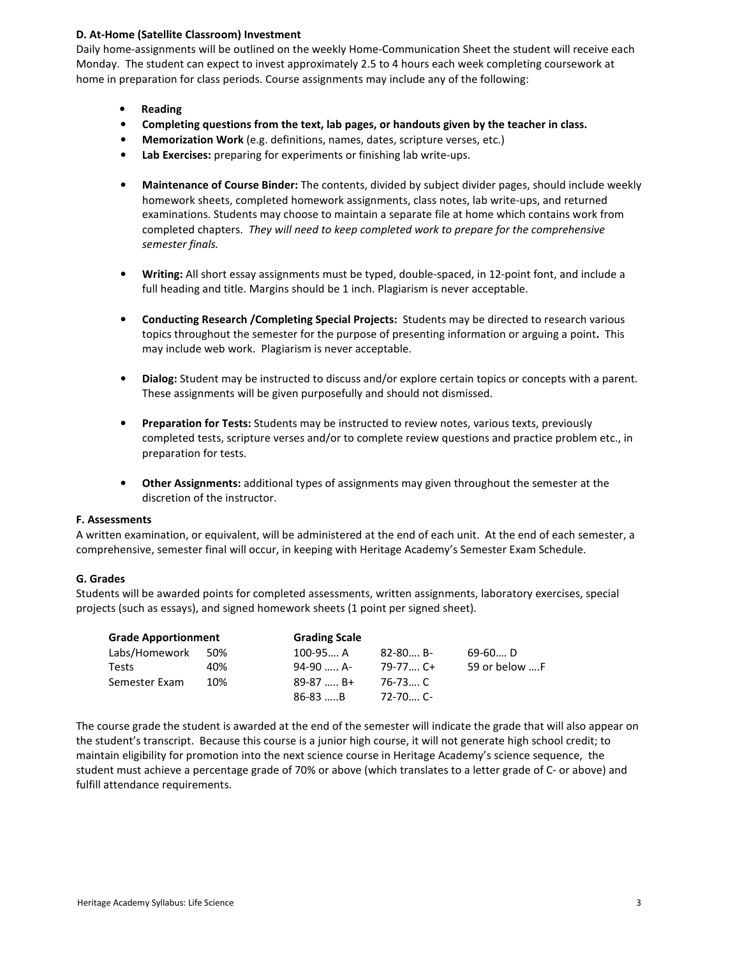## D. At-Home (Satellite Classroom) Investment

Daily home-assignments will be outlined on the weekly Home-Communication Sheet the student will receive each Monday. The student can expect to invest approximately 2.5 to 4 hours each week completing coursework at home in preparation for class periods. Course assignments may include any of the following:

- Reading
- Completing questions from the text, lab pages, or handouts given by the teacher in class.
- Memorization Work (e.g. definitions, names, dates, scripture verses, etc.)
- Lab Exercises: preparing for experiments or finishing lab write-ups.
- Maintenance of Course Binder: The contents, divided by subject divider pages, should include weekly homework sheets, completed homework assignments, class notes, lab write-ups, and returned examinations. Students may choose to maintain a separate file at home which contains work from completed chapters. They will need to keep completed work to prepare for the comprehensive semester finals.
- Writing: All short essay assignments must be typed, double-spaced, in 12-point font, and include a full heading and title. Margins should be 1 inch. Plagiarism is never acceptable.
- Conducting Research /Completing Special Projects: Students may be directed to research various topics throughout the semester for the purpose of presenting information or arguing a point. This may include web work. Plagiarism is never acceptable.
- Dialog: Student may be instructed to discuss and/or explore certain topics or concepts with a parent. These assignments will be given purposefully and should not dismissed.
- Preparation for Tests: Students may be instructed to review notes, various texts, previously completed tests, scripture verses and/or to complete review questions and practice problem etc., in preparation for tests.
- Other Assignments: additional types of assignments may given throughout the semester at the discretion of the instructor.

## F. Assessments

A written examination, or equivalent, will be administered at the end of each unit. At the end of each semester, a comprehensive, semester final will occur, in keeping with Heritage Academy's Semester Exam Schedule.

## G. Grades

Students will be awarded points for completed assessments, written assignments, laboratory exercises, special projects (such as essays), and signed homework sheets (1 point per signed sheet).

| <b>Grade Apportionment</b> |     | <b>Grading Scale</b> |            |               |
|----------------------------|-----|----------------------|------------|---------------|
| Labs/Homework              | 50% | 100-95 A             | $82-80$ B- | 69-60 D       |
| Tests                      | 40% | 94-90  A-            | 79-77C+    | 59 or below F |
| Semester Exam              | 10% | $89-87$ B+           | 76-73 C    |               |
|                            |     | $86-83$ B            | 72-70 C-   |               |

The course grade the student is awarded at the end of the semester will indicate the grade that will also appear on the student's transcript. Because this course is a junior high course, it will not generate high school credit; to maintain eligibility for promotion into the next science course in Heritage Academy's science sequence, the student must achieve a percentage grade of 70% or above (which translates to a letter grade of C- or above) and fulfill attendance requirements.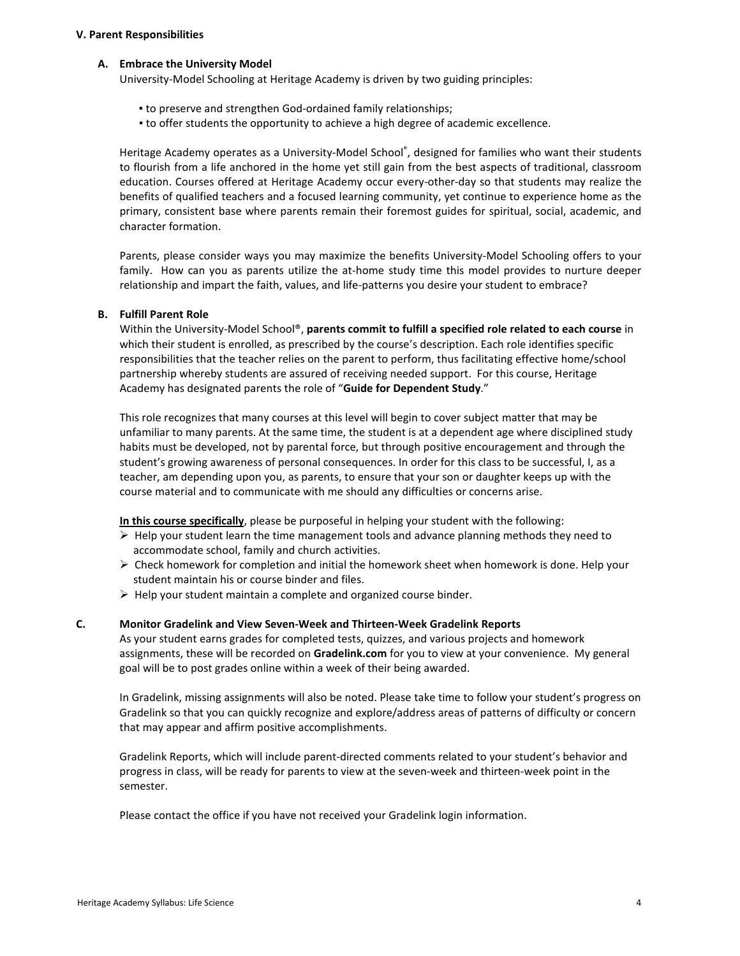#### V. Parent Responsibilities

#### A. Embrace the University Model

University-Model Schooling at Heritage Academy is driven by two guiding principles:

- to preserve and strengthen God-ordained family relationships;
- to offer students the opportunity to achieve a high degree of academic excellence.

Heritage Academy operates as a University-Model School®, designed for families who want their students to flourish from a life anchored in the home yet still gain from the best aspects of traditional, classroom education. Courses offered at Heritage Academy occur every-other-day so that students may realize the benefits of qualified teachers and a focused learning community, yet continue to experience home as the primary, consistent base where parents remain their foremost guides for spiritual, social, academic, and character formation.

Parents, please consider ways you may maximize the benefits University-Model Schooling offers to your family. How can you as parents utilize the at-home study time this model provides to nurture deeper relationship and impart the faith, values, and life-patterns you desire your student to embrace?

#### B. Fulfill Parent Role

Within the University-Model School®, parents commit to fulfill a specified role related to each course in which their student is enrolled, as prescribed by the course's description. Each role identifies specific responsibilities that the teacher relies on the parent to perform, thus facilitating effective home/school partnership whereby students are assured of receiving needed support. For this course, Heritage Academy has designated parents the role of "Guide for Dependent Study."

This role recognizes that many courses at this level will begin to cover subject matter that may be unfamiliar to many parents. At the same time, the student is at a dependent age where disciplined study habits must be developed, not by parental force, but through positive encouragement and through the student's growing awareness of personal consequences. In order for this class to be successful, I, as a teacher, am depending upon you, as parents, to ensure that your son or daughter keeps up with the course material and to communicate with me should any difficulties or concerns arise.

In this course specifically, please be purposeful in helping your student with the following:

- $\triangleright$  Help your student learn the time management tools and advance planning methods they need to accommodate school, family and church activities.
- $\triangleright$  Check homework for completion and initial the homework sheet when homework is done. Help your student maintain his or course binder and files.
- $\triangleright$  Help your student maintain a complete and organized course binder.

## C. Monitor Gradelink and View Seven-Week and Thirteen-Week Gradelink Reports

As your student earns grades for completed tests, quizzes, and various projects and homework assignments, these will be recorded on Gradelink.com for you to view at your convenience. My general goal will be to post grades online within a week of their being awarded.

In Gradelink, missing assignments will also be noted. Please take time to follow your student's progress on Gradelink so that you can quickly recognize and explore/address areas of patterns of difficulty or concern that may appear and affirm positive accomplishments.

Gradelink Reports, which will include parent-directed comments related to your student's behavior and progress in class, will be ready for parents to view at the seven-week and thirteen-week point in the semester.

Please contact the office if you have not received your Gradelink login information.